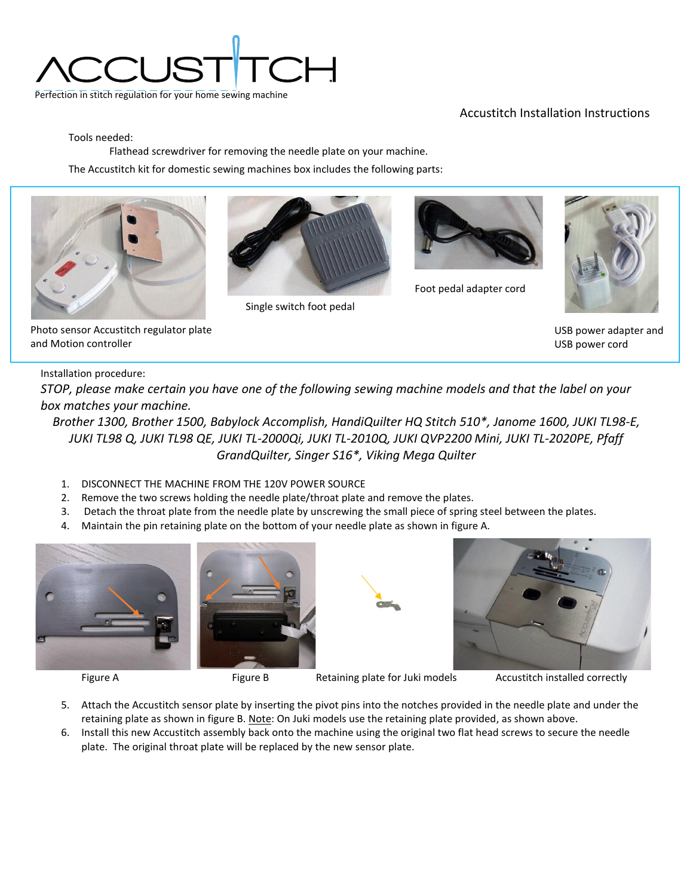

## Accustitch Installation Instructions

Tools needed:

Flathead screwdriver for removing the needle plate on your machine.

The Accustitch kit for domestic sewing machines box includes the following parts:





Single switch foot pedal



Foot pedal adapter cord



USB power adapter and USB power cord

## Photo sensor Accustitch regulator plate and Motion controller

## Installation procedure:

*STOP, please make certain you have one of the following sewing machine models and that the label on your box matches your machine.*

*Brother 1300, Brother 1500, Babylock Accomplish, HandiQuilter HQ Stitch 510\*, Janome 1600, JUKI TL98-E, JUKI TL98 Q, JUKI TL98 QE, JUKI TL-2000Qi, JUKI TL-2010Q, JUKI QVP2200 Mini, JUKI TL-2020PE, Pfaff GrandQuilter, Singer S16\*, Viking Mega Quilter*

- 1. DISCONNECT THE MACHINE FROM THE 120V POWER SOURCE
- 2. Remove the two screws holding the needle plate/throat plate and remove the plates.
- 3. Detach the throat plate from the needle plate by unscrewing the small piece of spring steel between the plates.
- 4. Maintain the pin retaining plate on the bottom of your needle plate as shown in figure A.







Figure A Figure B Retaining plate for Juki models Accustitch installed correctly

- 5. Attach the Accustitch sensor plate by inserting the pivot pins into the notches provided in the needle plate and under the retaining plate as shown in figure B. Note: On Juki models use the retaining plate provided, as shown above.
- 6. Install this new Accustitch assembly back onto the machine using the original two flat head screws to secure the needle plate. The original throat plate will be replaced by the new sensor plate.